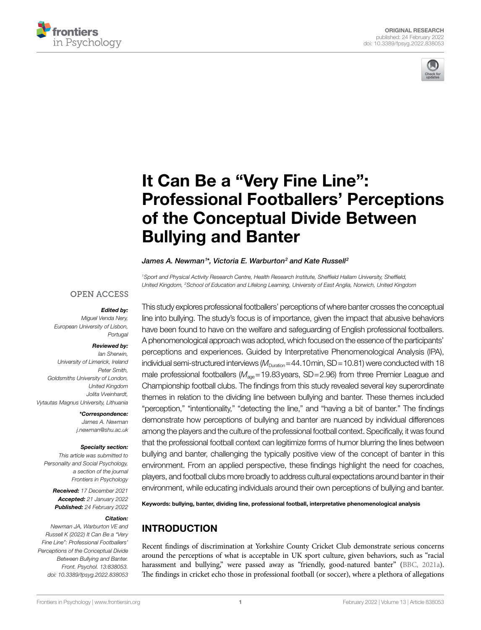



# [It Can Be a "Very Fine Line":](https://www.frontiersin.org/articles/10.3389/fpsyg.2022.838053/full)  [Professional Footballers' Perceptions](https://www.frontiersin.org/articles/10.3389/fpsyg.2022.838053/full)  [of the Conceptual Divide Between](https://www.frontiersin.org/articles/10.3389/fpsyg.2022.838053/full)  [Bullying and Banter](https://www.frontiersin.org/articles/10.3389/fpsyg.2022.838053/full)

#### James A. Newman<sup>1\*</sup>, Victoria E. Warburton<sup>2</sup> and Kate Russell<sup>2</sup>

*1Sport and Physical Activity Research Centre, Health Research Institute, Sheffield Hallam University, Sheffield, United Kingdom, 2School of Education and Lifelong Learning, University of East Anglia, Norwich, United Kingdom*

#### **OPEN ACCESS**

#### *Edited by:*

*Miguel Venda Nery, European University of Lisbon, Portugal*

#### *Reviewed by:*

*Ian Sherwin, University of Limerick, Ireland Peter Smith, Goldsmiths University of London, United Kingdom Jolita Vveinhardt, Vytautas Magnus University, Lithuania*

> *\*Correspondence: James A. Newman [j.newman@shu.ac.uk](mailto:j.newman@shu.ac.uk)*

#### *Specialty section:*

*This article was submitted to Personality and Social Psychology, a section of the journal Frontiers in Psychology*

> *Received: 17 December 2021 Accepted: 21 January 2022 Published: 24 February 2022*

#### *Citation:*

*Newman JA, Warburton VE and Russell K (2022) It Can Be a "Very Fine Line": Professional Footballers' Perceptions of the Conceptual Divide Between Bullying and Banter. Front. Psychol. 13:838053. [doi: 10.3389/fpsyg.2022.838053](https://doi.org/10.3389/fpsyg.2022.838053)*

This study explores professional footballers' perceptions of where banter crosses the conceptual line into bullying. The study's focus is of importance, given the impact that abusive behaviors have been found to have on the welfare and safeguarding of English professional footballers. A phenomenological approach was adopted, which focused on the essence of the participants' perceptions and experiences. Guided by Interpretative Phenomenological Analysis (IPA), individual semi-structured interviews ( $M_{\text{Duration}}$ =44.10min, SD=10.81) were conducted with 18 male professional footballers ( $M_{\text{aoe}}$ =19.83years, SD=2.96) from three Premier League and Championship football clubs. The findings from this study revealed several key superordinate themes in relation to the dividing line between bullying and banter. These themes included "perception," "intentionality," "detecting the line," and "having a bit of banter." The findings demonstrate how perceptions of bullying and banter are nuanced by individual differences among the players and the culture of the professional football context. Specifically, it was found that the professional football context can legitimize forms of humor blurring the lines between bullying and banter, challenging the typically positive view of the concept of banter in this environment. From an applied perspective, these findings highlight the need for coaches, players, and football clubs more broadly to address cultural expectations around banter in their environment, while educating individuals around their own perceptions of bullying and banter.

Keywords: bullying, banter, dividing line, professional football, interpretative phenomenological analysis

## INTRODUCTION

Recent findings of discrimination at Yorkshire County Cricket Club demonstrate serious concerns around the perceptions of what is acceptable in UK sport culture, given behaviors, such as "racial harassment and bullying," were passed away as "friendly, good-natured banter" ([BBC, 2021a\)](#page-11-0). The findings in cricket echo those in professional football (or soccer), where a plethora of allegations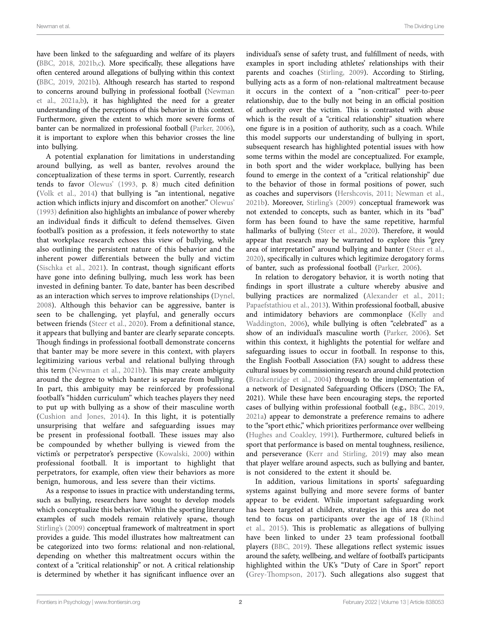have been linked to the safeguarding and welfare of its players ([BBC, 2018](#page-11-1), [2021b](#page-11-2)[,c](#page-11-3)). More specifically, these allegations have often centered around allegations of bullying within this context ([BBC, 2019,](#page-11-4) [2021b\)](#page-11-2). Although research has started to respond to concerns around bullying in professional football ([Newman](#page-12-0)  [et al., 2021a](#page-12-0)[,b\)](#page-12-1), it has highlighted the need for a greater understanding of the perceptions of this behavior in this context. Furthermore, given the extent to which more severe forms of banter can be normalized in professional football ([Parker, 2006](#page-12-2)), it is important to explore when this behavior crosses the line into bullying.

A potential explanation for limitations in understanding around bullying, as well as banter, revolves around the conceptualization of these terms in sport. Currently, research tends to favor [Olewus' \(1993](#page-12-3), p. 8) much cited definition ([Volk et al., 2014](#page-12-4)) that bullying is "an intentional, negative action which inflicts injury and discomfort on another." [Olewus'](#page-12-3)  [\(1993\)](#page-12-3) definition also highlights an imbalance of power whereby an individual finds it difficult to defend themselves. Given football's position as a profession, it feels noteworthy to state that workplace research echoes this view of bullying, while also outlining the persistent nature of this behavior and the inherent power differentials between the bully and victim ([Sischka et al., 2021](#page-12-5)). In contrast, though significant efforts have gone into defining bullying, much less work has been invested in defining banter. To date, banter has been described as an interaction which serves to improve relationships ([Dynel,](#page-11-5)  [2008\)](#page-11-5). Although this behavior can be aggressive, banter is seen to be challenging, yet playful, and generally occurs between friends ([Steer et al., 2020\)](#page-12-6). From a definitional stance, it appears that bullying and banter are clearly separate concepts. Though findings in professional football demonstrate concerns that banter may be more severe in this context, with players legitimizing various verbal and relational bullying through this term (Newman et al., 2021b). This may create ambiguity around the degree to which banter is separate from bullying. In part, this ambiguity may be reinforced by professional football's "hidden curriculum" which teaches players they need to put up with bullying as a show of their masculine worth ([Cushion and Jones, 2014\)](#page-11-6). In this light, it is potentially unsurprising that welfare and safeguarding issues may be present in professional football. These issues may also be compounded by whether bullying is viewed from the victim's or perpetrator's perspective ([Kowalski, 2000\)](#page-11-7) within professional football. It is important to highlight that perpetrators, for example, often view their behaviors as more benign, humorous, and less severe than their victims.

As a response to issues in practice with understanding terms, such as bullying, researchers have sought to develop models which conceptualize this behavior. Within the sporting literature examples of such models remain relatively sparse, though [Stirling's \(2009\)](#page-12-7) conceptual framework of maltreatment in sport provides a guide. This model illustrates how maltreatment can be categorized into two forms: relational and non-relational, depending on whether this maltreatment occurs within the context of a "critical relationship" or not. A critical relationship is determined by whether it has significant influence over an

individual's sense of safety trust, and fulfillment of needs, with examples in sport including athletes' relationships with their parents and coaches ([Stirling, 2009](#page-12-7)). According to Stirling, bullying acts as a form of non-relational maltreatment because it occurs in the context of a "non-critical" peer-to-peer relationship, due to the bully not being in an official position of authority over the victim. This is contrasted with abuse which is the result of a "critical relationship" situation where one figure is in a position of authority, such as a coach. While this model supports our understanding of bullying in sport, subsequent research has highlighted potential issues with how some terms within the model are conceptualized. For example, in both sport and the wider workplace, bullying has been found to emerge in the context of a "critical relationship" due to the behavior of those in formal positions of power, such as coaches and supervisors ([Hershcovis, 2011](#page-11-8); [Newman et al.,](#page-12-1)  [2021b\)](#page-12-1). Moreover, [Stirling's \(2009\)](#page-12-7) conceptual framework was not extended to concepts, such as banter, which in its "bad" form has been found to have the same repetitive, harmful hallmarks of bullying (Steer et al., 2020). Therefore, it would appear that research may be warranted to explore this "grey area of interpretation" around bullying and banter ([Steer et al.,](#page-12-6)  [2020\)](#page-12-6), specifically in cultures which legitimize derogatory forms of banter, such as professional football ([Parker, 2006\)](#page-12-2).

In relation to derogatory behavior, it is worth noting that findings in sport illustrate a culture whereby abusive and bullying practices are normalized [\(Alexander et al., 2011;](#page-11-9) [Papaefstathiou et al., 2013](#page-12-8)). Within professional football, abusive and intimidatory behaviors are commonplace [\(Kelly and](#page-11-10)  [Waddington, 2006](#page-11-10)), while bullying is often "celebrated" as a show of an individual's masculine worth [\(Parker, 2006](#page-12-2)). Set within this context, it highlights the potential for welfare and safeguarding issues to occur in football. In response to this, the English Football Association (FA) sought to address these cultural issues by commissioning research around child protection [\(Brackenridge et al., 2004](#page-11-11)) through to the implementation of a network of Designated Safeguarding Officers (DSO; The FA, 2021). While these have been encouraging steps, the reported cases of bullying within professional football (e.g., [BBC, 2019,](#page-11-4) [2021a\)](#page-11-0) appear to demonstrate a preference remains to adhere to the "sport ethic," which prioritizes performance over wellbeing [\(Hughes and Coakley, 1991\)](#page-11-12). Furthermore, cultured beliefs in sport that performance is based on mental toughness, resilience, and perseverance [\(Kerr and Stirling, 2019](#page-11-13)) may also mean that player welfare around aspects, such as bullying and banter, is not considered to the extent it should be.

In addition, various limitations in sports' safeguarding systems against bullying and more severe forms of banter appear to be evident. While important safeguarding work has been targeted at children, strategies in this area do not tend to focus on participants over the age of 18 ([Rhind](#page-12-9)  [et al., 2015\)](#page-12-9). This is problematic as allegations of bullying have been linked to under 23 team professional football players [\(BBC, 2019](#page-11-4)). These allegations reflect systemic issues around the safety, wellbeing, and welfare of football's participants highlighted within the UK's "Duty of Care in Sport" report [\(Grey-Thompson, 2017](#page-11-14)). Such allegations also suggest that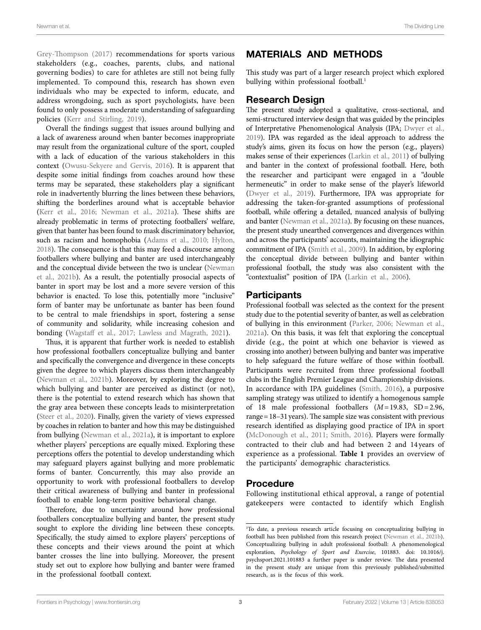[Grey-Thompson \(2017\)](#page-11-14) recommendations for sports various stakeholders (e.g., coaches, parents, clubs, and national governing bodies) to care for athletes are still not being fully implemented. To compound this, research has shown even individuals who may be expected to inform, educate, and address wrongdoing, such as sport psychologists, have been found to only possess a moderate understanding of safeguarding policies ([Kerr and Stirling, 2019](#page-11-13)).

Overall the findings suggest that issues around bullying and a lack of awareness around when banter becomes inappropriate may result from the organizational culture of the sport, coupled with a lack of education of the various stakeholders in this context [\(Owusu-Sekyere and Gervis, 2016](#page-12-10)). It is apparent that despite some initial findings from coaches around how these terms may be separated, these stakeholders play a significant role in inadvertently blurring the lines between these behaviors, shifting the borderlines around what is acceptable behavior (Kerr et al., 2016; Newman et al., 2021a). These shifts are already problematic in terms of protecting footballers' welfare, given that banter has been found to mask discriminatory behavior, such as racism and homophobia (Adams et al., 2010; Hylton, [2018](#page-11-17)). The consequence is that this may feed a discourse among footballers where bullying and banter are used interchangeably and the conceptual divide between the two is unclear [\(Newman](#page-12-1)  [et al., 2021b](#page-12-1)). As a result, the potentially prosocial aspects of banter in sport may be lost and a more severe version of this behavior is enacted. To lose this, potentially more "inclusive" form of banter may be unfortunate as banter has been found to be central to male friendships in sport, fostering a sense of community and solidarity, while increasing cohesion and bonding [\(Wagstaff et al., 2017](#page-12-11); [Lawless and Magrath, 2021\)](#page-11-18).

Thus, it is apparent that further work is needed to establish how professional footballers conceptualize bullying and banter and specifically the convergence and divergence in these concepts given the degree to which players discuss them interchangeably (Newman et al., 2021b). Moreover, by exploring the degree to which bullying and banter are perceived as distinct (or not), there is the potential to extend research which has shown that the gray area between these concepts leads to misinterpretation ([Steer et al., 2020\)](#page-12-6). Finally, given the variety of views expressed by coaches in relation to banter and how this may be distinguished from bullying ([Newman et al., 2021a](#page-12-0)), it is important to explore whether players' perceptions are equally mixed. Exploring these perceptions offers the potential to develop understanding which may safeguard players against bullying and more problematic forms of banter. Concurrently, this may also provide an opportunity to work with professional footballers to develop their critical awareness of bullying and banter in professional football to enable long-term positive behavioral change.

Therefore, due to uncertainty around how professional footballers conceptualize bullying and banter, the present study sought to explore the dividing line between these concepts. Specifically, the study aimed to explore players' perceptions of these concepts and their views around the point at which banter crosses the line into bullying. Moreover, the present study set out to explore how bullying and banter were framed in the professional football context.

## MATERIALS AND METHODS

This study was part of a larger research project which explored bullying within professional football.<sup>[1](#page-2-0)</sup>

#### Research Design

The present study adopted a qualitative, cross-sectional, and semi-structured interview design that was guided by the principles of Interpretative Phenomenological Analysis (IPA; [Dwyer et al.,](#page-11-19)  [2019\)](#page-11-19). IPA was regarded as the ideal approach to address the study's aims, given its focus on how the person (e.g., players) makes sense of their experiences [\(Larkin et al., 2011](#page-11-20)) of bullying and banter in the context of professional football. Here, both the researcher and participant were engaged in a "double hermeneutic" in order to make sense of the player's lifeworld [\(Dwyer et al., 2019](#page-11-19)). Furthermore, IPA was appropriate for addressing the taken-for-granted assumptions of professional football, while offering a detailed, nuanced analysis of bullying and banter [\(Newman et al., 2021a](#page-12-0)). By focusing on these nuances, the present study unearthed convergences and divergences within and across the participants' accounts, maintaining the idiographic commitment of IPA ([Smith et al., 2009](#page-12-12)). In addition, by exploring the conceptual divide between bullying and banter within professional football, the study was also consistent with the "contextualist" position of IPA [\(Larkin et al., 2006\)](#page-11-21).

#### **Participants**

Professional football was selected as the context for the present study due to the potential severity of banter, as well as celebration of bullying in this environment ([Parker, 2006](#page-12-2); [Newman et al.,](#page-12-0)  [2021a](#page-12-0)). On this basis, it was felt that exploring the conceptual divide (e.g., the point at which one behavior is viewed as crossing into another) between bullying and banter was imperative to help safeguard the future welfare of those within football. Participants were recruited from three professional football clubs in the English Premier League and Championship divisions. In accordance with IPA guidelines [\(Smith, 2016\)](#page-12-13), a purposive sampling strategy was utilized to identify a homogenous sample of 18 male professional footballers (*M*=19.83, SD=2.96, range=18–31years). The sample size was consistent with previous research identified as displaying good practice of IPA in sport [\(McDonough et al., 2011;](#page-11-22) [Smith, 2016](#page-12-13)). Players were formally contracted to their club and had between 2 and 14 years of experience as a professional. **[Table 1](#page-3-0)** provides an overview of the participants' demographic characteristics.

#### Procedure

Following institutional ethical approval, a range of potential gatekeepers were contacted to identify which English

<span id="page-2-0"></span><sup>1</sup> To date, a previous research article focusing on conceptualizing bullying in football has been published from this research project ([Newman et al., 2021b\)](#page-12-1). Conceptualizing bullying in adult professional football: A phenomenological exploration, *Psychology of Sport and Exercise*, 101883. [doi: 10.1016/j.](https://doi.org/10.1016/j.psychsport.2021.101883) [psychsport.2021.101883](https://doi.org/10.1016/j.psychsport.2021.101883) a further paper is under review. The data presented in the present study are unique from this previously published/submitted research, as is the focus of this work.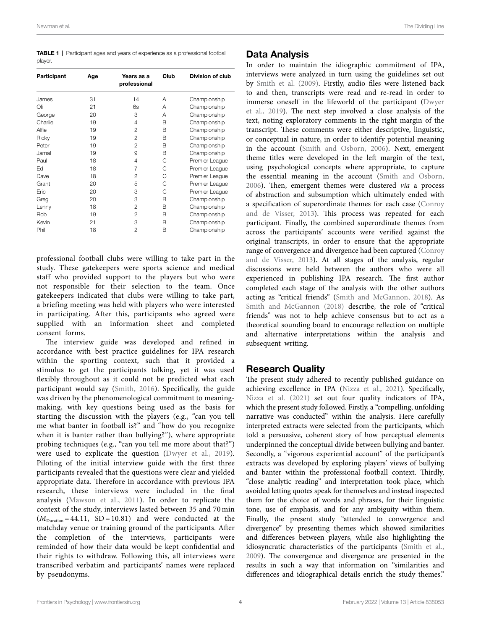<span id="page-3-0"></span>

|         | <b>TABLE 1</b>   Participant ages and years of experience as a professional football |  |
|---------|--------------------------------------------------------------------------------------|--|
| player. |                                                                                      |  |

| Participant | Age | Years as a<br>professional | Club | Division of club |
|-------------|-----|----------------------------|------|------------------|
| James       | 31  | 14                         | A    | Championship     |
| Oli         | 21  | 6s                         | A    | Championship     |
| George      | 20  | 3                          | A    | Championship     |
| Charlie     | 19  | $\overline{4}$             | B    | Championship     |
| Alfie       | 19  | 2                          | B    | Championship     |
| Ricky       | 19  | 2                          | B    | Championship     |
| Peter       | 19  | 2                          | B    | Championship     |
| Jamal       | 19  | 9                          | B    | Championship     |
| Paul        | 18  | $\overline{4}$             | С    | Premier League   |
| Ed          | 18  | 7                          | С    | Premier League   |
| Dave        | 18  | 2                          | C    | Premier League   |
| Grant       | 20  | 5                          | C    | Premier League   |
| Eric        | 20  | 3                          | С    | Premier League   |
| Greg        | 20  | 3                          | B    | Championship     |
| Lenny       | 18  | 2                          | B    | Championship     |
| Rob         | 19  | 2                          | B    | Championship     |
| Kevin       | 21  | 3                          | B    | Championship     |
| Phil        | 18  | $\mathfrak{p}$             | B    | Championship     |

professional football clubs were willing to take part in the study. These gatekeepers were sports science and medical staff who provided support to the players but who were not responsible for their selection to the team. Once gatekeepers indicated that clubs were willing to take part, a briefing meeting was held with players who were interested in participating. After this, participants who agreed were supplied with an information sheet and completed consent forms.

The interview guide was developed and refined in accordance with best practice guidelines for IPA research within the sporting context, such that it provided a stimulus to get the participants talking, yet it was used flexibly throughout as it could not be predicted what each participant would say [\(Smith, 2016](#page-12-13)). Specifically, the guide was driven by the phenomenological commitment to meaningmaking, with key questions being used as the basis for starting the discussion with the players (e.g., "can you tell me what banter in football is?" and "how do you recognize when it is banter rather than bullying?"), where appropriate probing techniques (e.g., "can you tell me more about that?") were used to explicate the question ([Dwyer et al., 2019\)](#page-11-19). Piloting of the initial interview guide with the first three participants revealed that the questions were clear and yielded appropriate data. Therefore in accordance with previous IPA research, these interviews were included in the final analysis [\(Mawson et al., 2011\)](#page-11-23). In order to replicate the context of the study, interviews lasted between 35 and 70 min  $(M<sub>Duration</sub> = 44.11, SD = 10.81)$  and were conducted at the matchday venue or training ground of the participants. After the completion of the interviews, participants were reminded of how their data would be kept confidential and their rights to withdraw. Following this, all interviews were transcribed verbatim and participants' names were replaced by pseudonyms.

#### Data Analysis

In order to maintain the idiographic commitment of IPA, interviews were analyzed in turn using the guidelines set out by [Smith et al. \(2009\)](#page-12-12). Firstly, audio files were listened back to and then, transcripts were read and re-read in order to immerse oneself in the lifeworld of the participant [\(Dwyer](#page-11-19)  [et al., 2019](#page-11-19)). The next step involved a close analysis of the text, noting exploratory comments in the right margin of the transcript. These comments were either descriptive, linguistic, or conceptual in nature, in order to identify potential meaning in the account [\(Smith and Osborn, 2006](#page-12-14)). Next, emergent theme titles were developed in the left margin of the text, using psychological concepts where appropriate, to capture the essential meaning in the account [\(Smith and Osborn,](#page-12-14)  [2006](#page-12-14)). Then, emergent themes were clustered *via* a process of abstraction and subsumption which ultimately ended with a specification of superordinate themes for each case ([Conroy](#page-11-24)  [and de Visser, 2013](#page-11-24)). This process was repeated for each participant. Finally, the combined superordinate themes from across the participants' accounts were verified against the original transcripts, in order to ensure that the appropriate range of convergence and divergence had been captured [\(Conroy](#page-11-24)  [and de Visser, 2013](#page-11-24)). At all stages of the analysis, regular discussions were held between the authors who were all experienced in publishing IPA research. The first author completed each stage of the analysis with the other authors acting as "critical friends" [\(Smith and McGannon, 2018](#page-12-15)). As [Smith and McGannon \(2018\)](#page-12-15) describe, the role of "critical friends" was not to help achieve consensus but to act as a theoretical sounding board to encourage reflection on multiple and alternative interpretations within the analysis and subsequent writing.

#### Research Quality

The present study adhered to recently published guidance on achieving excellence in IPA ([Nizza et al., 2021\)](#page-12-16). Specifically, [Nizza et al. \(2021\)](#page-12-16) set out four quality indicators of IPA, which the present study followed. Firstly, a "compelling, unfolding narrative was conducted" within the analysis. Here carefully interpreted extracts were selected from the participants, which told a persuasive, coherent story of how perceptual elements underpinned the conceptual divide between bullying and banter. Secondly, a "vigorous experiential account" of the participant's extracts was developed by exploring players' views of bullying and banter within the professional football context. Thirdly, "close analytic reading" and interpretation took place, which avoided letting quotes speak for themselves and instead inspected them for the choice of words and phrases, for their linguistic tone, use of emphasis, and for any ambiguity within them. Finally, the present study "attended to convergence and divergence" by presenting themes which showed similarities and differences between players, while also highlighting the idiosyncratic characteristics of the participants ([Smith et al.,](#page-12-12)  [2009\)](#page-12-12). The convergence and divergence are presented in the results in such a way that information on "similarities and differences and idiographical details enrich the study themes."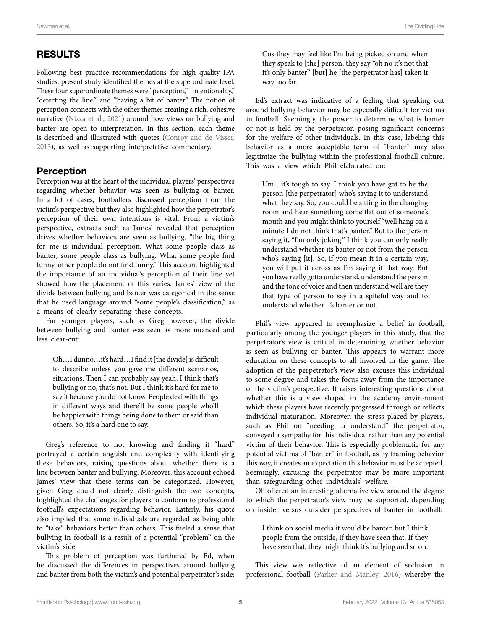## RESULTS

Following best practice recommendations for high quality IPA studies, present study identified themes at the superordinate level. These four superordinate themes were "perception," "intentionality," "detecting the line," and "having a bit of banter." The notion of perception connects with the other themes creating a rich, cohesive narrative (Nizza et al., 2021) around how views on bullying and banter are open to interpretation. In this section, each theme is described and illustrated with quotes [\(Conroy and de Visser,](#page-11-24)  [2013](#page-11-24)), as well as supporting interpretative commentary.

#### Perception

Perception was at the heart of the individual players' perspectives regarding whether behavior was seen as bullying or banter. In a lot of cases, footballers discussed perception from the victim's perspective but they also highlighted how the perpetrator's perception of their own intentions is vital. From a victim's perspective, extracts such as James' revealed that perception drives whether behaviors are seen as bullying, "the big thing for me is individual perception. What some people class as banter, some people class as bullying. What some people find funny, other people do not find funny." This account highlighted the importance of an individual's perception of their line yet showed how the placement of this varies. James' view of the divide between bullying and banter was categorical in the sense that he used language around "some people's classification," as a means of clearly separating these concepts.

For younger players, such as Greg however, the divide between bullying and banter was seen as more nuanced and less clear-cut:

Oh…I dunno…it's hard…I find it [the divide] is difficult to describe unless you gave me different scenarios, situations. Then I can probably say yeah, I think that's bullying or no, that's not. But I think it's hard for me to say it because you do not know. People deal with things in different ways and there'll be some people who'll be happier with things being done to them or said than others. So, it's a hard one to say.

Greg's reference to not knowing and finding it "hard" portrayed a certain anguish and complexity with identifying these behaviors, raising questions about whether there is a line between banter and bullying. Moreover, this account echoed James' view that these terms can be categorized. However, given Greg could not clearly distinguish the two concepts, highlighted the challenges for players to conform to professional football's expectations regarding behavior. Latterly, his quote also implied that some individuals are regarded as being able to "take" behaviors better than others. This fueled a sense that bullying in football is a result of a potential "problem" on the victim's side.

This problem of perception was furthered by Ed, when he discussed the differences in perspectives around bullying and banter from both the victim's and potential perpetrator's side: Cos they may feel like I'm being picked on and when they speak to [the] person, they say "oh no it's not that it's only banter" [but] he [the perpetrator has] taken it way too far.

Ed's extract was indicative of a feeling that speaking out around bullying behavior may be especially difficult for victims in football. Seemingly, the power to determine what is banter or not is held by the perpetrator, posing significant concerns for the welfare of other individuals. In this case, labeling this behavior as a more acceptable term of "banter" may also legitimize the bullying within the professional football culture. This was a view which Phil elaborated on:

Um…it's tough to say. I think you have got to be the person [the perpetrator] who's saying it to understand what they say. So, you could be sitting in the changing room and hear something come flat out of someone's mouth and you might think to yourself "well hang on a minute I do not think that's banter." But to the person saying it, "I'm only joking." I think you can only really understand whether its banter or not from the person who's saying [it]. So, if you mean it in a certain way, you will put it across as I'm saying it that way. But you have really gotta understand, understand the person and the tone of voice and then understand well are they that type of person to say in a spiteful way and to understand whether it's banter or not.

Phil's view appeared to reemphasize a belief in football, particularly among the younger players in this study, that the perpetrator's view is critical in determining whether behavior is seen as bullying or banter. This appears to warrant more education on these concepts to all involved in the game. The adoption of the perpetrator's view also excuses this individual to some degree and takes the focus away from the importance of the victim's perspective. It raises interesting questions about whether this is a view shaped in the academy environment which these players have recently progressed through or reflects individual maturation. Moreover, the stress placed by players, such as Phil on "needing to understand" the perpetrator, conveyed a sympathy for this individual rather than any potential victim of their behavior. This is especially problematic for any potential victims of "banter" in football, as by framing behavior this way, it creates an expectation this behavior must be accepted. Seemingly, excusing the perpetrator may be more important than safeguarding other individuals' welfare.

Oli offered an interesting alternative view around the degree to which the perpetrator's view may be supported, depending on insider versus outsider perspectives of banter in football:

I think on social media it would be banter, but I think people from the outside, if they have seen that. If they have seen that, they might think it's bullying and so on.

This view was reflective of an element of seclusion in professional football [\(Parker and Manley, 2016](#page-12-17)) whereby the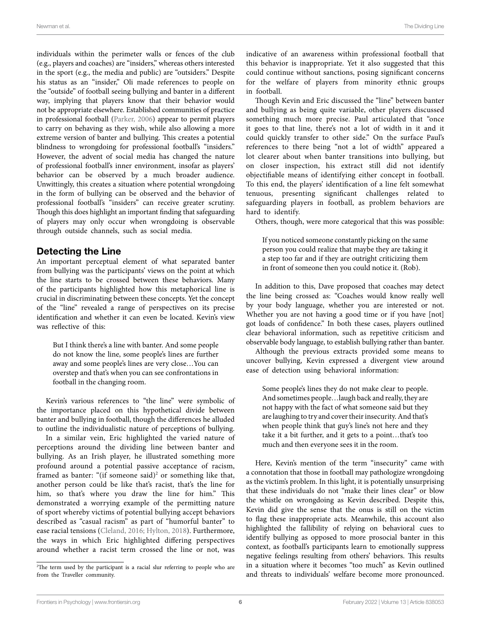individuals within the perimeter walls or fences of the club (e.g., players and coaches) are "insiders," whereas others interested in the sport (e.g., the media and public) are "outsiders." Despite his status as an "insider," Oli made references to people on the "outside" of football seeing bullying and banter in a different way, implying that players know that their behavior would not be appropriate elsewhere. Established communities of practice in professional football ([Parker, 2006\)](#page-12-2) appear to permit players to carry on behaving as they wish, while also allowing a more extreme version of banter and bullying. This creates a potential blindness to wrongdoing for professional football's "insiders." However, the advent of social media has changed the nature of professional football's inner environment, insofar as players' behavior can be observed by a much broader audience. Unwittingly, this creates a situation where potential wrongdoing in the form of bullying can be observed and the behavior of professional football's "insiders" can receive greater scrutiny. Though this does highlight an important finding that safeguarding of players may only occur when wrongdoing is observable through outside channels, such as social media.

#### Detecting the Line

An important perceptual element of what separated banter from bullying was the participants' views on the point at which the line starts to be crossed between these behaviors. Many of the participants highlighted how this metaphorical line is crucial in discriminating between these concepts. Yet the concept of the "line" revealed a range of perspectives on its precise identification and whether it can even be located. Kevin's view was reflective of this:

But I think there's a line with banter. And some people do not know the line, some people's lines are further away and some people's lines are very close…You can overstep and that's when you can see confrontations in football in the changing room.

Kevin's various references to "the line" were symbolic of the importance placed on this hypothetical divide between banter and bullying in football, though the differences he alluded to outline the individualistic nature of perceptions of bullying.

In a similar vein, Eric highlighted the varied nature of perceptions around the dividing line between banter and bullying. As an Irish player, he illustrated something more profound around a potential passive acceptance of racism, framed as banter: "(if someone said)<sup>[2](#page-5-0)</sup> or something like that, another person could be like that's racist, that's the line for him, so that's where you draw the line for him." This demonstrated a worrying example of the permitting nature of sport whereby victims of potential bullying accept behaviors described as "casual racism" as part of "humorful banter" to ease racial tensions [\(Cleland, 2016](#page-11-25); [Hylton, 2018](#page-11-17)). Furthermore, the ways in which Eric highlighted differing perspectives around whether a racist term crossed the line or not, was

indicative of an awareness within professional football that this behavior is inappropriate. Yet it also suggested that this could continue without sanctions, posing significant concerns for the welfare of players from minority ethnic groups in football.

Though Kevin and Eric discussed the "line" between banter and bullying as being quite variable, other players discussed something much more precise. Paul articulated that "once it goes to that line, there's not a lot of width in it and it could quickly transfer to other side." On the surface Paul's references to there being "not a lot of width" appeared a lot clearer about when banter transitions into bullying, but on closer inspection, his extract still did not identify objectifiable means of identifying either concept in football. To this end, the players' identification of a line felt somewhat tenuous, presenting significant challenges related to safeguarding players in football, as problem behaviors are hard to identify.

Others, though, were more categorical that this was possible:

If you noticed someone constantly picking on the same person you could realize that maybe they are taking it a step too far and if they are outright criticizing them in front of someone then you could notice it. (Rob).

In addition to this, Dave proposed that coaches may detect the line being crossed as: "Coaches would know really well by your body language, whether you are interested or not. Whether you are not having a good time or if you have [not] got loads of confidence." In both these cases, players outlined clear behavioral information, such as repetitive criticism and observable body language, to establish bullying rather than banter.

Although the previous extracts provided some means to uncover bullying, Kevin expressed a divergent view around ease of detection using behavioral information:

Some people's lines they do not make clear to people. And sometimes people…laugh back and really, they are not happy with the fact of what someone said but they are laughing to try and cover their insecurity. And that's when people think that guy's line's not here and they take it a bit further, and it gets to a point…that's too much and then everyone sees it in the room.

Here, Kevin's mention of the term "insecurity" came with a connotation that those in football may pathologize wrongdoing as the victim's problem. In this light, it is potentially unsurprising that these individuals do not "make their lines clear" or blow the whistle on wrongdoing as Kevin described. Despite this, Kevin did give the sense that the onus is still on the victim to flag these inappropriate acts. Meanwhile, this account also highlighted the fallibility of relying on behavioral cues to identify bullying as opposed to more prosocial banter in this context, as football's participants learn to emotionally suppress negative feelings resulting from others' behaviors. This results in a situation where it becomes "too much" as Kevin outlined and threats to individuals' welfare become more pronounced.

<span id="page-5-0"></span><sup>2</sup> The term used by the participant is a racial slur referring to people who are from the Traveller community.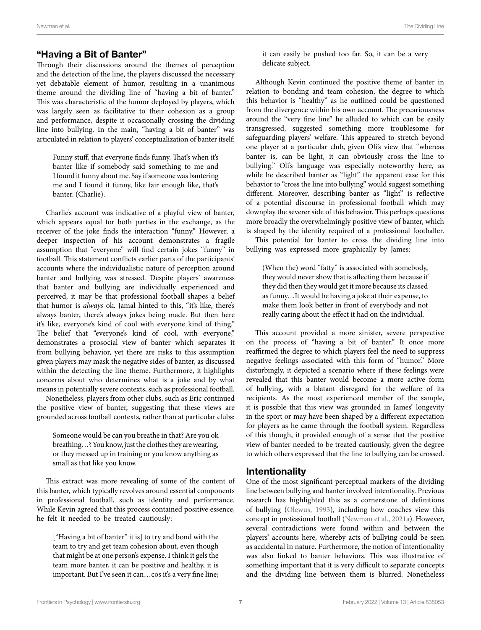#### "Having a Bit of Banter"

Through their discussions around the themes of perception and the detection of the line, the players discussed the necessary yet debatable element of humor, resulting in a unanimous theme around the dividing line of "having a bit of banter." This was characteristic of the humor deployed by players, which was largely seen as facilitative to their cohesion as a group and performance, despite it occasionally crossing the dividing line into bullying. In the main, "having a bit of banter" was articulated in relation to players' conceptualization of banter itself:

Funny stuff, that everyone finds funny. That's when it's banter like if somebody said something to me and I found it funny about me. Say if someone was bantering me and I found it funny, like fair enough like, that's banter. (Charlie).

Charlie's account was indicative of a playful view of banter, which appears equal for both parties in the exchange, as the receiver of the joke finds the interaction "funny." However, a deeper inspection of his account demonstrates a fragile assumption that "everyone" will find certain jokes "funny" in football. This statement conflicts earlier parts of the participants' accounts where the individualistic nature of perception around banter and bullying was stressed. Despite players' awareness that banter and bullying are individually experienced and perceived, it may be that professional football shapes a belief that humor is *always* ok. Jamal hinted to this, "it's like, there's always banter, there's always jokes being made. But then here it's like, everyone's kind of cool with everyone kind of thing." The belief that "everyone's kind of cool, with everyone," demonstrates a prosocial view of banter which separates it from bullying behavior, yet there are risks to this assumption given players may mask the negative sides of banter, as discussed within the detecting the line theme. Furthermore, it highlights concerns about who determines what is a joke and by what means in potentially severe contexts, such as professional football.

Nonetheless, players from other clubs, such as Eric continued the positive view of banter, suggesting that these views are grounded across football contexts, rather than at particular clubs:

Someone would be can you breathe in that? Are you ok breathing…? You know, just the clothes they are wearing, or they messed up in training or you know anything as small as that like you know.

This extract was more revealing of some of the content of this banter, which typically revolves around essential components in professional football, such as identity and performance. While Kevin agreed that this process contained positive essence, he felt it needed to be treated cautiously:

["Having a bit of banter" it is] to try and bond with the team to try and get team cohesion about, even though that might be at one person's expense. I think it gels the team more banter, it can be positive and healthy, it is important. But I've seen it can…cos it's a very fine line; it can easily be pushed too far. So, it can be a very delicate subject.

Although Kevin continued the positive theme of banter in relation to bonding and team cohesion, the degree to which this behavior is "healthy" as he outlined could be questioned from the divergence within his own account. The precariousness around the "very fine line" he alluded to which can be easily transgressed, suggested something more troublesome for safeguarding players' welfare. This appeared to stretch beyond one player at a particular club, given Oli's view that "whereas banter is, can be light, it can obviously cross the line to bullying." Oli's language was especially noteworthy here, as while he described banter as "light" the apparent ease for this behavior to "cross the line into bullying" would suggest something different. Moreover, describing banter as "light" is reflective of a potential discourse in professional football which may downplay the severer side of this behavior. This perhaps questions more broadly the overwhelmingly positive view of banter, which is shaped by the identity required of a professional footballer.

This potential for banter to cross the dividing line into bullying was expressed more graphically by James:

(When the) word "fatty" is associated with somebody, they would never show that is affecting them because if they did then they would get it more because its classed as funny…It would be having a joke at their expense, to make them look better in front of everybody and not really caring about the effect it had on the individual.

This account provided a more sinister, severe perspective on the process of "having a bit of banter." It once more reaffirmed the degree to which players feel the need to suppress negative feelings associated with this form of "humor." More disturbingly, it depicted a scenario where if these feelings were revealed that this banter would become a more active form of bullying, with a blatant disregard for the welfare of its recipients. As the most experienced member of the sample, it is possible that this view was grounded in James' longevity in the sport or may have been shaped by a different expectation for players as he came through the football system. Regardless of this though, it provided enough of a sense that the positive view of banter needed to be treated cautiously, given the degree to which others expressed that the line to bullying can be crossed.

#### Intentionality

One of the most significant perceptual markers of the dividing line between bullying and banter involved intentionality. Previous research has highlighted this as a cornerstone of definitions of bullying [\(Olewus, 1993\)](#page-12-3), including how coaches view this concept in professional football [\(Newman et al., 2021a](#page-12-0)). However, several contradictions were found within and between the players' accounts here, whereby acts of bullying could be seen as accidental in nature. Furthermore, the notion of intentionality was also linked to banter behaviors. This was illustrative of something important that it is very difficult to separate concepts and the dividing line between them is blurred. Nonetheless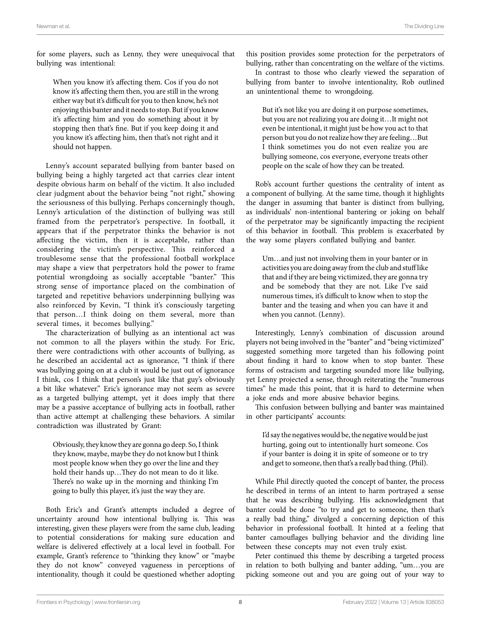for some players, such as Lenny, they were unequivocal that bullying was intentional:

When you know it's affecting them. Cos if you do not know it's affecting them then, you are still in the wrong either way but it's difficult for you to then know, he's not enjoying this banter and it needs to stop. But if you know it's affecting him and you do something about it by stopping then that's fine. But if you keep doing it and you know it's affecting him, then that's not right and it should not happen.

Lenny's account separated bullying from banter based on bullying being a highly targeted act that carries clear intent despite obvious harm on behalf of the victim. It also included clear judgment about the behavior being "not right," showing the seriousness of this bullying. Perhaps concerningly though, Lenny's articulation of the distinction of bullying was still framed from the perpetrator's perspective. In football, it appears that if the perpetrator thinks the behavior is not affecting the victim, then it is acceptable, rather than considering the victim's perspective. This reinforced a troublesome sense that the professional football workplace may shape a view that perpetrators hold the power to frame potential wrongdoing as socially acceptable "banter." This strong sense of importance placed on the combination of targeted and repetitive behaviors underpinning bullying was also reinforced by Kevin, "I think it's consciously targeting that person…I think doing on them several, more than several times, it becomes bullying."

The characterization of bullying as an intentional act was not common to all the players within the study. For Eric, there were contradictions with other accounts of bullying, as he described an accidental act as ignorance, "I think if there was bullying going on at a club it would be just out of ignorance I think, cos I think that person's just like that guy's obviously a bit like whatever." Eric's ignorance may not seem as severe as a targeted bullying attempt, yet it does imply that there may be a passive acceptance of bullying acts in football, rather than active attempt at challenging these behaviors. A similar contradiction was illustrated by Grant:

Obviously, they know they are gonna go deep. So, I think they know, maybe, maybe they do not know but I think most people know when they go over the line and they hold their hands up…They do not mean to do it like. There's no wake up in the morning and thinking I'm going to bully this player, it's just the way they are.

Both Eric's and Grant's attempts included a degree of uncertainty around how intentional bullying is. This was interesting, given these players were from the same club, leading to potential considerations for making sure education and welfare is delivered effectively at a local level in football. For example, Grant's reference to "thinking they know" or "maybe they do not know" conveyed vagueness in perceptions of intentionality, though it could be questioned whether adopting

this position provides some protection for the perpetrators of bullying, rather than concentrating on the welfare of the victims.

In contrast to those who clearly viewed the separation of bullying from banter to involve intentionality, Rob outlined an unintentional theme to wrongdoing.

But it's not like you are doing it on purpose sometimes, but you are not realizing you are doing it…It might not even be intentional, it might just be how you act to that person but you do not realize how they are feeling…But I think sometimes you do not even realize you are bullying someone, cos everyone, everyone treats other people on the scale of how they can be treated.

Rob's account further questions the centrality of intent as a component of bullying. At the same time, though it highlights the danger in assuming that banter is distinct from bullying, as individuals' non-intentional bantering or joking on behalf of the perpetrator may be significantly impacting the recipient of this behavior in football. This problem is exacerbated by the way some players conflated bullying and banter.

Um…and just not involving them in your banter or in activities you are doing away from the club and stuff like that and if they are being victimized, they are gonna try and be somebody that they are not. Like I've said numerous times, it's difficult to know when to stop the banter and the teasing and when you can have it and when you cannot. (Lenny).

Interestingly, Lenny's combination of discussion around players not being involved in the "banter" and "being victimized" suggested something more targeted than his following point about finding it hard to know when to stop banter. These forms of ostracism and targeting sounded more like bullying, yet Lenny projected a sense, through reiterating the "numerous times" he made this point, that it is hard to determine when a joke ends and more abusive behavior begins.

This confusion between bullying and banter was maintained in other participants' accounts:

I'd say the negatives would be, the negative would be just hurting, going out to intentionally hurt someone. Cos if your banter is doing it in spite of someone or to try and get to someone, then that's a really bad thing. (Phil).

While Phil directly quoted the concept of banter, the process he described in terms of an intent to harm portrayed a sense that he was describing bullying. His acknowledgment that banter could be done "to try and get to someone, then that's a really bad thing," divulged a concerning depiction of this behavior in professional football. It hinted at a feeling that banter camouflages bullying behavior and the dividing line between these concepts may not even truly exist.

Peter continued this theme by describing a targeted process in relation to both bullying and banter adding, "um…you are picking someone out and you are going out of your way to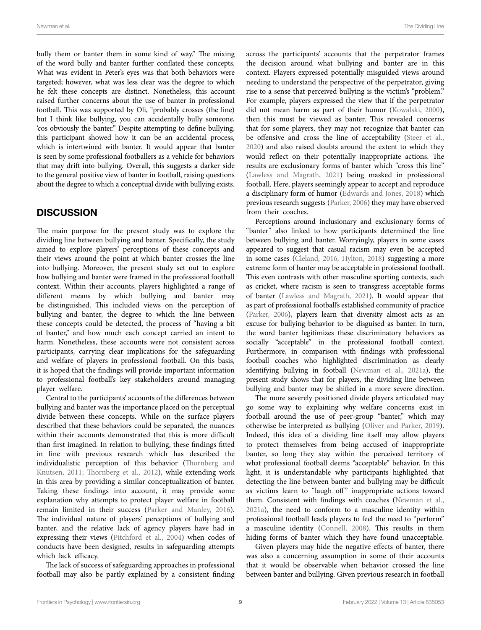bully them or banter them in some kind of way." The mixing of the word bully and banter further conflated these concepts. What was evident in Peter's eyes was that both behaviors were targeted; however, what was less clear was the degree to which he felt these concepts are distinct. Nonetheless, this account raised further concerns about the use of banter in professional football. This was supported by Oli, "probably crosses (the line) but I think like bullying, you can accidentally bully someone, 'cos obviously the banter." Despite attempting to define bullying, this participant showed how it can be an accidental process, which is intertwined with banter. It would appear that banter is seen by some professional footballers as a vehicle for behaviors that may drift into bullying. Overall, this suggests a darker side to the general positive view of banter in football, raising questions about the degree to which a conceptual divide with bullying exists.

#### **DISCUSSION**

The main purpose for the present study was to explore the dividing line between bullying and banter. Specifically, the study aimed to explore players' perceptions of these concepts and their views around the point at which banter crosses the line into bullying. Moreover, the present study set out to explore how bullying and banter were framed in the professional football context. Within their accounts, players highlighted a range of different means by which bullying and banter may be distinguished. This included views on the perception of bullying and banter, the degree to which the line between these concepts could be detected, the process of "having a bit of banter," and how much each concept carried an intent to harm. Nonetheless, these accounts were not consistent across participants, carrying clear implications for the safeguarding and welfare of players in professional football. On this basis, it is hoped that the findings will provide important information to professional football's key stakeholders around managing player welfare.

Central to the participants' accounts of the differences between bullying and banter was the importance placed on the perceptual divide between these concepts. While on the surface players described that these behaviors could be separated, the nuances within their accounts demonstrated that this is more difficult than first imagined. In relation to bullying, these findings fitted in line with previous research which has described the individualistic perception of this behavior ([Thornberg and](#page-12-18)  [Knutsen, 2011;](#page-12-18) [Thornberg et al., 2012\)](#page-12-19), while extending work in this area by providing a similar conceptualization of banter. Taking these findings into account, it may provide some explanation why attempts to protect player welfare in football remain limited in their success [\(Parker and Manley, 2016](#page-12-17)). The individual nature of players' perceptions of bullying and banter, and the relative lack of agency players have had in expressing their views [\(Pitchford et al., 2004\)](#page-12-20) when codes of conducts have been designed, results in safeguarding attempts which lack efficacy.

The lack of success of safeguarding approaches in professional football may also be partly explained by a consistent finding

across the participants' accounts that the perpetrator frames the decision around what bullying and banter are in this context. Players expressed potentially misguided views around needing to understand the perspective of the perpetrator, giving rise to a sense that perceived bullying is the victim's "problem." For example, players expressed the view that if the perpetrator did not mean harm as part of their humor [\(Kowalski, 2000](#page-11-7)), then this must be viewed as banter. This revealed concerns that for some players, they may not recognize that banter can be offensive and cross the line of acceptability ([Steer et al.,](#page-12-6)  [2020\)](#page-12-6) and also raised doubts around the extent to which they would reflect on their potentially inappropriate actions. The results are exclusionary forms of banter which "cross this line" [\(Lawless and Magrath, 2021\)](#page-11-18) being masked in professional football. Here, players seemingly appear to accept and reproduce a disciplinary form of humor ([Edwards and Jones, 2018](#page-11-26)) which previous research suggests [\(Parker, 2006\)](#page-12-2) they may have observed from their coaches.

Perceptions around inclusionary and exclusionary forms of "banter" also linked to how participants determined the line between bullying and banter. Worryingly, players in some cases appeared to suggest that casual racism may even be accepted in some cases [\(Cleland, 2016;](#page-11-25) [Hylton, 2018\)](#page-11-17) suggesting a more extreme form of banter may be acceptable in professional football. This even contrasts with other masculine sporting contexts, such as cricket, where racism is seen to transgress acceptable forms of banter ([Lawless and Magrath, 2021](#page-11-18)). It would appear that as part of professional football's established community of practice [\(Parker, 2006\)](#page-12-2), players learn that diversity almost acts as an excuse for bullying behavior to be disguised as banter. In turn, the word banter legitimizes these discriminatory behaviors as socially "acceptable" in the professional football context. Furthermore, in comparison with findings with professional football coaches who highlighted discrimination as clearly identifying bullying in football [\(Newman et al., 2021a](#page-12-0)), the present study shows that for players, the dividing line between bullying and banter may be shifted in a more severe direction.

The more severely positioned divide players articulated may go some way to explaining why welfare concerns exist in football around the use of peer-group "banter," which may otherwise be interpreted as bullying ([Oliver and Parker, 2019](#page-12-21)). Indeed, this idea of a dividing line itself may allow players to protect themselves from being accused of inappropriate banter, so long they stay within the perceived territory of what professional football deems "acceptable" behavior. In this light, it is understandable why participants highlighted that detecting the line between banter and bullying may be difficult as victims learn to "laugh off" inappropriate actions toward them. Consistent with findings with coaches [\(Newman et al.,](#page-12-0)  [2021a](#page-12-0)), the need to conform to a masculine identity within professional football leads players to feel the need to "perform" a masculine identity [\(Connell, 2008\)](#page-11-27). This results in them hiding forms of banter which they have found unacceptable.

Given players may hide the negative effects of banter, there was also a concerning assumption in some of their accounts that it would be observable when behavior crossed the line between banter and bullying. Given previous research in football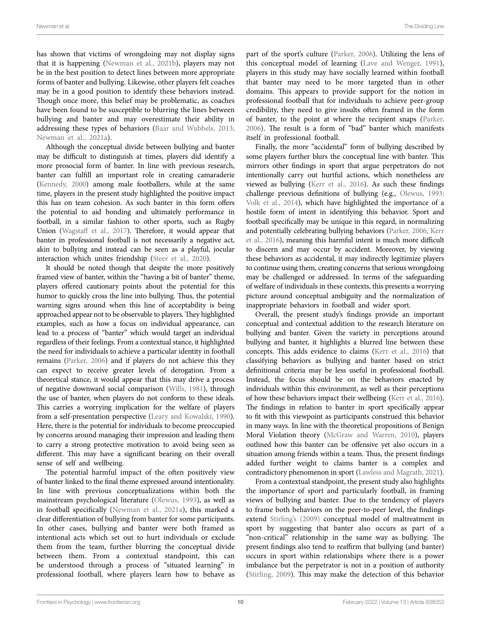has shown that victims of wrongdoing may not display signs that it is happening ([Newman et al., 2021b\)](#page-12-1), players may not be in the best position to detect lines between more appropriate forms of banter and bullying. Likewise, other players felt coaches may be in a good position to identify these behaviors instead. Though once more, this belief may be problematic, as coaches have been found to be susceptible to blurring the lines between bullying and banter and may overestimate their ability in addressing these types of behaviors ([Baar and Wubbels, 2013](#page-11-28); [Newman et al., 2021a](#page-12-0)).

Although the conceptual divide between bullying and banter may be difficult to distinguish at times, players did identify a more prosocial form of banter. In line with previous research, banter can fulfill an important role in creating camaraderie ([Kennedy, 2000\)](#page-11-29) among male footballers, while at the same time, players in the present study highlighted the positive impact this has on team cohesion. As such banter in this form offers the potential to aid bonding and ultimately performance in football, in a similar fashion to other sports, such as Rugby Union ([Wagstaff et al., 2017](#page-12-11)). Therefore, it would appear that banter in professional football is not necessarily a negative act, akin to bullying and instead can be seen as a playful, jocular interaction which unites friendship [\(Steer et al., 2020\)](#page-12-6).

It should be noted though that despite the more positively framed view of banter, within the "having a bit of banter" theme, players offered cautionary points about the potential for this humor to quickly cross the line into bullying. Thus, the potential warning signs around when this line of acceptability is being approached appear not to be observable to players. They highlighted examples, such as how a focus on individual appearance, can lead to a process of "banter" which would target an individual regardless of their feelings. From a contextual stance, it highlighted the need for individuals to achieve a particular identity in football remains [\(Parker, 2006](#page-12-2)) and if players do not achieve this they can expect to receive greater levels of derogation. From a theoretical stance, it would appear that this may drive a process of negative downward social comparison ([Wills, 1981\)](#page-12-22), through the use of banter, when players do not conform to these ideals. This carries a worrying implication for the welfare of players from a self-presentation perspective [\(Leary and Kowalski, 1990](#page-11-30)). Here, there is the potential for individuals to become preoccupied by concerns around managing their impression and leading them to carry a strong protective motivation to avoid being seen as different. This may have a significant bearing on their overall sense of self and wellbeing.

The potential harmful impact of the often positively view of banter linked to the final theme expressed around intentionality. In line with previous conceptualizations within both the mainstream psychological literature ([Olewus, 1993\)](#page-12-3), as well as in football specifically [\(Newman et al., 2021a\)](#page-12-0), this marked a clear differentiation of bullying from banter for some participants. In other cases, bullying and banter were both framed as intentional acts which set out to hurt individuals or exclude them from the team, further blurring the conceptual divide between them. From a contextual standpoint, this can be understood through a process of "situated learning" in professional football, where players learn how to behave as

part of the sport's culture [\(Parker, 2006\)](#page-12-2). Utilizing the lens of this conceptual model of learning ([Lave and Wenger, 1991](#page-11-31)), players in this study may have socially learned within football that banter may need to be more targeted than in other domains. This appears to provide support for the notion in professional football that for individuals to achieve peer-group credibility, they need to give insults often framed in the form of banter, to the point at where the recipient snaps [\(Parker,](#page-12-2)  [2006\)](#page-12-2). The result is a form of "bad" banter which manifests itself in professional football.

Finally, the more "accidental" form of bullying described by some players further blurs the conceptual line with banter. This mirrors other findings in sport that argue perpetrators do not intentionally carry out hurtful actions, which nonetheless are viewed as bullying [\(Kerr et al., 2016\)](#page-11-15). As such these findings challenge previous definitions of bullying (e.g., [Olewus, 1993;](#page-12-3) [Volk et al., 2014\)](#page-12-4), which have highlighted the importance of a hostile form of intent in identifying this behavior. Sport and football specifically may be unique in this regard, in normalizing and potentially celebrating bullying behaviors ([Parker, 2006](#page-12-2); [Kerr](#page-11-15)  [et al., 2016](#page-11-15)), meaning this harmful intent is much more difficult to discern and may occur by accident. Moreover, by viewing these behaviors as accidental, it may indirectly legitimize players to continue using them, creating concerns that serious wrongdoing may be challenged or addressed. In terms of the safeguarding of welfare of individuals in these contexts, this presents a worrying picture around conceptual ambiguity and the normalization of inappropriate behaviors in football and wider sport.

Overall, the present study's findings provide an important conceptual and contextual addition to the research literature on bullying and banter. Given the variety in perceptions around bullying and banter, it highlights a blurred line between these concepts. This adds evidence to claims ([Kerr et al., 2016](#page-11-15)) that classifying behaviors as bullying and banter based on strict definitional criteria may be less useful in professional football. Instead, the focus should be on the behaviors enacted by individuals within this environment, as well as their perceptions of how these behaviors impact their wellbeing [\(Kerr et al., 2016\)](#page-11-15). The findings in relation to banter in sport specifically appear to fit with this viewpoint as participants construed this behavior in many ways. In line with the theoretical propositions of Benign Moral Violation theory [\(McGraw and Warren, 2010\)](#page-11-32), players outlined how this banter can be offensive yet also occurs in a situation among friends within a team. Thus, the present findings added further weight to claims banter is a complex and contradictory phenomenon in sport ([Lawless and Magrath, 2021\)](#page-11-18).

From a contextual standpoint, the present study also highlights the importance of sport and particularly football, in framing views of bullying and banter. Due to the tendency of players to frame both behaviors on the peer-to-peer level, the findings extend [Stirling's \(2009\)](#page-12-7) conceptual model of maltreatment in sport by suggesting that banter also occurs as part of a "non-critical" relationship in the same way as bullying. The present findings also tend to reaffirm that bullying (and banter) occurs in sport within relationships where there is a power imbalance but the perpetrator is not in a position of authority [\(Stirling, 2009\)](#page-12-7). This may make the detection of this behavior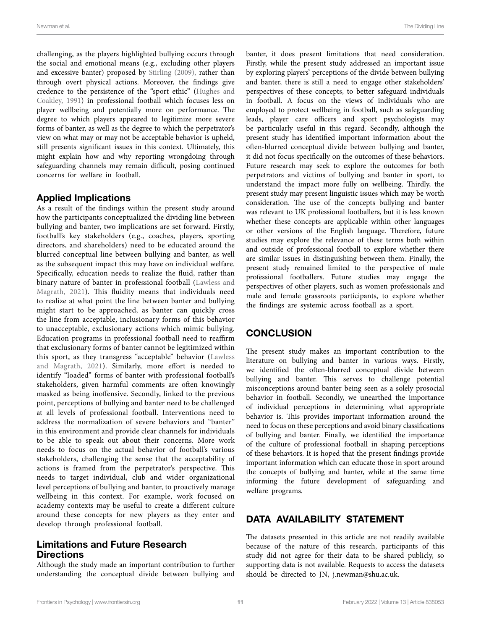challenging, as the players highlighted bullying occurs through the social and emotional means (e.g., excluding other players and excessive banter) proposed by [Stirling \(2009\),](#page-12-7) rather than through overt physical actions. Moreover, the findings give credence to the persistence of the "sport ethic" [\(Hughes and](#page-11-12)  [Coakley, 1991\)](#page-11-12) in professional football which focuses less on player wellbeing and potentially more on performance. The degree to which players appeared to legitimize more severe forms of banter, as well as the degree to which the perpetrator's view on what may or may not be acceptable behavior is upheld, still presents significant issues in this context. Ultimately, this might explain how and why reporting wrongdoing through safeguarding channels may remain difficult, posing continued concerns for welfare in football.

#### Applied Implications

As a result of the findings within the present study around how the participants conceptualized the dividing line between bullying and banter, two implications are set forward. Firstly, football's key stakeholders (e.g., coaches, players, sporting directors, and shareholders) need to be educated around the blurred conceptual line between bullying and banter, as well as the subsequent impact this may have on individual welfare. Specifically, education needs to realize the fluid, rather than binary nature of banter in professional football [\(Lawless and](#page-11-18)  [Magrath, 2021](#page-11-18)). This fluidity means that individuals need to realize at what point the line between banter and bullying might start to be approached, as banter can quickly cross the line from acceptable, inclusionary forms of this behavior to unacceptable, exclusionary actions which mimic bullying. Education programs in professional football need to reaffirm that exclusionary forms of banter cannot be legitimized within this sport, as they transgress "acceptable" behavior ([Lawless](#page-11-18)  [and Magrath, 2021\)](#page-11-18). Similarly, more effort is needed to identify "loaded" forms of banter with professional football's stakeholders, given harmful comments are often knowingly masked as being inoffensive. Secondly, linked to the previous point, perceptions of bullying and banter need to be challenged at all levels of professional football. Interventions need to address the normalization of severe behaviors and "banter" in this environment and provide clear channels for individuals to be able to speak out about their concerns. More work needs to focus on the actual behavior of football's various stakeholders, challenging the sense that the acceptability of actions is framed from the perpetrator's perspective. This needs to target individual, club and wider organizational level perceptions of bullying and banter, to proactively manage wellbeing in this context. For example, work focused on academy contexts may be useful to create a different culture around these concepts for new players as they enter and develop through professional football.

#### Limitations and Future Research **Directions**

Although the study made an important contribution to further understanding the conceptual divide between bullying and banter, it does present limitations that need consideration. Firstly, while the present study addressed an important issue by exploring players' perceptions of the divide between bullying and banter, there is still a need to engage other stakeholders' perspectives of these concepts, to better safeguard individuals in football. A focus on the views of individuals who are employed to protect wellbeing in football, such as safeguarding leads, player care officers and sport psychologists may be particularly useful in this regard. Secondly, although the present study has identified important information about the often-blurred conceptual divide between bullying and banter, it did not focus specifically on the outcomes of these behaviors. Future research may seek to explore the outcomes for both perpetrators and victims of bullying and banter in sport, to understand the impact more fully on wellbeing. Thirdly, the present study may present linguistic issues which may be worth consideration. The use of the concepts bullying and banter was relevant to UK professional footballers, but it is less known whether these concepts are applicable within other languages or other versions of the English language. Therefore, future studies may explore the relevance of these terms both within and outside of professional football to explore whether there are similar issues in distinguishing between them. Finally, the present study remained limited to the perspective of male professional footballers. Future studies may engage the perspectives of other players, such as women professionals and male and female grassroots participants, to explore whether the findings are systemic across football as a sport.

## **CONCLUSION**

The present study makes an important contribution to the literature on bullying and banter in various ways. Firstly, we identified the often-blurred conceptual divide between bullying and banter. This serves to challenge potential misconceptions around banter being seen as a solely prosocial behavior in football. Secondly, we unearthed the importance of individual perceptions in determining what appropriate behavior is. This provides important information around the need to focus on these perceptions and avoid binary classifications of bullying and banter. Finally, we identified the importance of the culture of professional football in shaping perceptions of these behaviors. It is hoped that the present findings provide important information which can educate those in sport around the concepts of bullying and banter, while at the same time informing the future development of safeguarding and welfare programs.

## DATA AVAILABILITY STATEMENT

The datasets presented in this article are not readily available because of the nature of this research, participants of this study did not agree for their data to be shared publicly, so supporting data is not available. Requests to access the datasets should be directed to JN, [j.newman@shu.ac.uk](mailto:j.newman@shu.ac.uk).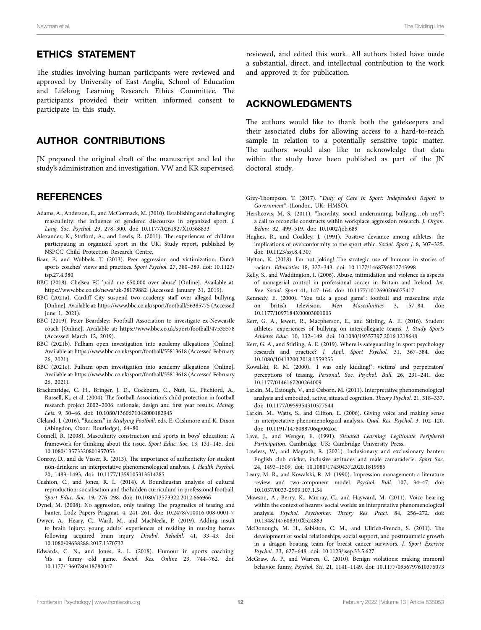#### ETHICS STATEMENT

The studies involving human participants were reviewed and approved by University of East Anglia, School of Education and Lifelong Learning Research Ethics Committee. The participants provided their written informed consent to participate in this study.

#### AUTHOR CONTRIBUTIONS

JN prepared the original draft of the manuscript and led the study's administration and investigation. VW and KR supervised,

#### **REFERENCES**

- <span id="page-11-16"></span>Adams, A., Anderson, E., and McCormack, M. (2010). Establishing and challenging masculinity: the influence of gendered discourses in organized sport. *J. Lang. Soc. Psychol.* 29, 278–300. doi: [10.1177/0261927X10368833](https://doi.org/10.1177/0261927X10368833)
- <span id="page-11-9"></span>Alexander, K., Stafford, A., and Lewis, R. (2011). The experiences of children participating in organized sport in the UK. Study report, published by NSPCC Child Protection Research Centre.
- <span id="page-11-28"></span>Baar, P., and Wubbels, T. (2013). Peer aggression and victimization: Dutch sports coaches' views and practices. *Sport Psychol.* 27, 380–389. doi: [10.1123/](https://doi.org/10.1123/tsp.27.4.380) [tsp.27.4.380](https://doi.org/10.1123/tsp.27.4.380)
- <span id="page-11-1"></span>BBC (2018). Chelsea FC 'paid me £50,000 over abuse' [Online]. Available at: <https://www.bbc.co.uk/news/uk-38179882>(Accessed January 31, 2019).
- <span id="page-11-0"></span>BBC (2021a). Cardiff City suspend two academy staff over alleged bullying [Online]. Available at:<https://www.bbc.co.uk/sport/football/56385775>(Accessed June 1, 2021).
- <span id="page-11-4"></span>BBC (2019). Peter Beardsley: Football Association to investigate ex-Newcastle coach [Online]. Available at: <https://www.bbc.co.uk/sport/football/47535578> (Accessed March 12, 2019).
- <span id="page-11-2"></span>BBC (2021b). Fulham open investigation into academy allegations [Online]. Available at:<https://www.bbc.co.uk/sport/football/55813618> (Accessed February 26, 2021).
- <span id="page-11-3"></span>BBC (2021c). Fulham open investigation into academy allegations [Online]. Available at:<https://www.bbc.co.uk/sport/football/55813618> (Accessed February 26, 2021).
- <span id="page-11-11"></span>Brackenridge, C. H., Bringer, J. D., Cockburn, C., Nutt, G., Pitchford, A., Russell, K., et al. (2004). The football Association's child protection in football research project 2002–2006: rationale, design and first year results. *Manag. Leis.* 9, 30–46. doi: [10.1080/1360671042000182943](https://doi.org/10.1080/1360671042000182943)
- <span id="page-11-25"></span>Cleland, J. (2016). "Racism," in *Studying Football*. eds. E. Cashmore and K. Dixon (Abingdon, Oxon: Routledge), 64–80.
- <span id="page-11-27"></span>Connell, R. (2008). Masculinity construction and sports in boys' education: A framework for thinking about the issue. *Sport Educ. Soc.* 13, 131–145. doi: [10.1080/13573320801957053](https://doi.org/10.1080/13573320801957053)
- <span id="page-11-24"></span>Conroy, D., and de Visser, R. (2013). The importance of authenticity for student non-drinkers: an interpretative phenomenological analysis. *J. Health Psychol.* 20, 1483–1493. doi: [10.1177/1359105313514285](https://doi.org/10.1177/1359105313514285)
- <span id="page-11-6"></span>Cushion, C., and Jones, R. L. (2014). A Bourdieusian analysis of cultural reproduction: socialisation and the'hidden curriculum' in professional football. *Sport Educ. Soc.* 19, 276–298. doi: [10.1080/13573322.2012.666966](https://doi.org/10.1080/13573322.2012.666966)
- <span id="page-11-5"></span>Dynel, M. (2008). No aggression, only teasing: The pragmatics of teasing and banter. Lodz Papers Pragmat. 4, 241–261. doi: [10.2478/v10016-008-0001-7](https://doi.org/10.2478/v10016-008-0001-7)
- <span id="page-11-19"></span>Dwyer, A., Heary, C., Ward, M., and MacNeela, P. (2019). Adding insult to brain injury: young adults' experiences of residing in nursing homes following acquired brain injury. *Disabil. Rehabil.* 41, 33–43. doi: [10.1080/09638288.2017.1370732](https://doi.org/10.1080/09638288.2017.1370732)
- <span id="page-11-26"></span>Edwards, C. N., and Jones, R. L. (2018). Humour in sports coaching: 'it's a funny old game. *Sociol. Res. Online* 23, 744–762. doi: [10.1177/1360780418780047](https://doi.org/10.1177/1360780418780047)

reviewed, and edited this work. All authors listed have made a substantial, direct, and intellectual contribution to the work and approved it for publication.

#### ACKNOWLEDGMENTS

The authors would like to thank both the gatekeepers and their associated clubs for allowing access to a hard-to-reach sample in relation to a potentially sensitive topic matter. The authors would also like to acknowledge that data within the study have been published as part of the JN doctoral study.

- <span id="page-11-14"></span>Grey-Thompson, T. (2017). "*Duty of Care in Sport: Independent Report to Government*". (London, UK: HMSO).
- <span id="page-11-8"></span>Hershcovis, M. S. (2011). "Incivility, social undermining, bullying…oh my!": a call to reconcile constructs within workplace aggression research. *J. Organ. Behav.* 32, 499–519. doi: [10.1002/job.689](https://doi.org/10.1002/job.689)
- <span id="page-11-12"></span>Hughes, R., and Coakley, J. (1991). Positive deviance among athletes: the implications of overconformity to the sport ethic. *Sociol. Sport J.* 8, 307–325. doi: [10.1123/ssj.8.4.307](https://doi.org/10.1123/ssj.8.4.307)
- <span id="page-11-17"></span>Hylton, K. (2018). I'm not joking! The strategic use of humour in stories of racism. *Ethnicities* 18, 327–343. doi: [10.1177/1468796817743998](https://doi.org/10.1177/1468796817743998)
- <span id="page-11-10"></span>Kelly, S., and Waddington, I. (2006). Abuse, intimidation and violence as aspects of managerial control in professional soccer in Britain and Ireland. *Int. Rev. Sociol. Sport* 41, 147–164. doi: [10.1177/1012690206075417](https://doi.org/10.1177/1012690206075417)
- <span id="page-11-29"></span>Kennedy, E. (2000). "You talk a good game": football and masculine style on british television. *Men Masculinities* 3, 57–84. doi: [10.1177/1097184X00003001003](https://doi.org/10.1177/1097184X00003001003)
- <span id="page-11-15"></span>Kerr, G. A., Jewett, R., Macpherson, E., and Stirling, A. E. (2016). Student athletes' experiences of bullying on intercollegiate teams. *J. Study Sports Athletes Educ.* 10, 132–149. doi: [10.1080/19357397.2016.1218648](https://doi.org/10.1080/19357397.2016.1218648)
- <span id="page-11-13"></span>Kerr, G. A., and Stirling, A. E. (2019). Where is safeguarding in sport psychology research and practice? *J. Appl. Sport Psychol.* 31, 367–384. doi: [10.1080/10413200.2018.1559255](https://doi.org/10.1080/10413200.2018.1559255)
- <span id="page-11-7"></span>Kowalski, R. M. (2000). "I was only kidding!": victims' and perpetrators' perceptions of teasing. *Personal. Soc. Psychol. Bull.* 26, 231–241. doi: [10.1177/0146167200264009](https://doi.org/10.1177/0146167200264009)
- <span id="page-11-20"></span>Larkin, M., Eatough, V., and Osborn, M. (2011). Interpretative phenomenological analysis and embodied, active, situated cognition. *Theory Psychol.* 21, 318–337. doi: [10.1177/0959354310377544](https://doi.org/10.1177/0959354310377544)
- <span id="page-11-21"></span>Larkin, M., Watts, S., and Clifton, E. (2006). Giving voice and making sense in interpretative phenomenological analysis. *Qual. Res. Psychol.* 3, 102–120. doi: [10.1191/1478088706qp062oa](https://doi.org/10.1191/1478088706qp062oa)
- <span id="page-11-31"></span>Lave, J., and Wenger, E. (1991). *Situated Learning: Legitimate Peripheral Participation*. Cambridge, UK: Cambridge University Press.
- <span id="page-11-18"></span>Lawless, W., and Magrath, R. (2021). Inclusionary and exclusionary banter: English club cricket, inclusive attitudes and male camaraderie. *Sport Soc.* 24, 1493–1509. doi: [10.1080/17430437.2020.1819985](https://doi.org/10.1080/17430437.2020.1819985)
- <span id="page-11-30"></span>Leary, M. R., and Kowalski, R. M. (1990). Impression management: a literature review and two-component model. *Psychol. Bull.* 107, 34–47. doi: [10.1037/0033-2909.107.1.34](https://doi.org/10.1037/0033-2909.107.1.34)
- <span id="page-11-23"></span>Mawson, A., Berry, K., Murray, C., and Hayward, M. (2011). Voice hearing within the context of hearers' social worlds: an interpretative phenomenological analysis. *Psychol. Psychother. Theory Res. Pract.* 84, 256–272. doi: [10.1348/147608310X524883](https://doi.org/10.1348/147608310X524883)
- <span id="page-11-22"></span>McDonough, M. H., Sabiston, C. M., and Ullrich-French, S. (2011). The development of social relationships, social support, and posttraumatic growth in a dragon boating team for breast cancer survivors. *J. Sport Exercise Psychol.* 33, 627–648. doi: [10.1123/jsep.33.5.627](https://doi.org/10.1123/jsep.33.5.627)
- <span id="page-11-32"></span>McGraw, A. P., and Warren, C. (2010). Benign violations: making immoral behavior funny. *Psychol. Sci.* 21, 1141–1149. doi: [10.1177/0956797610376073](https://doi.org/10.1177/0956797610376073)